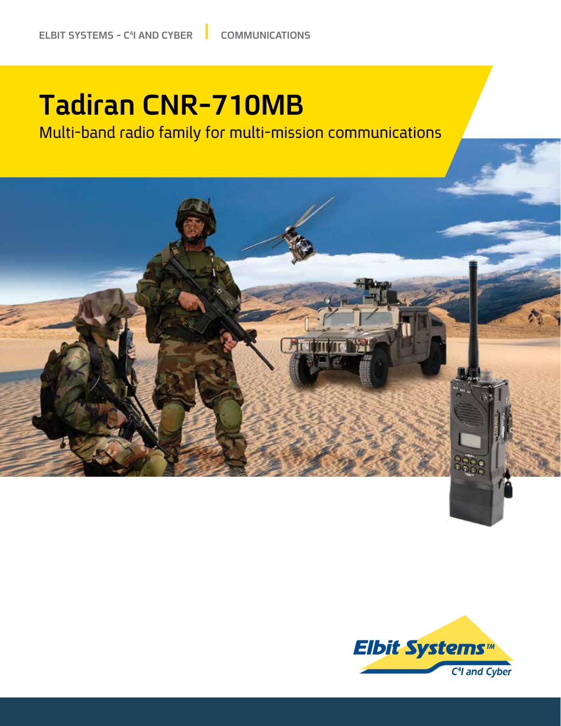## **Tadiran CNR-710MB**

Multi-band radio family for multi-mission communications



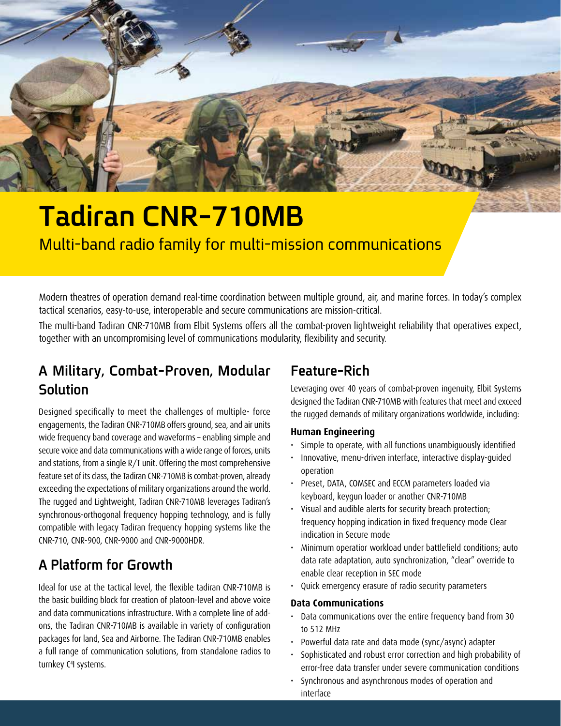

## **Tadiran CNR-710MB** Multi-band radio family for multi-mission communications

Modern theatres of operation demand real-time coordination between multiple ground, air, and marine forces. In today's complex tactical scenarios, easy-to-use, interoperable and secure communications are mission-critical.

The multi-band Tadiran CNR-710MB from Elbit Systems offers all the combat-proven lightweight reliability that operatives expect, together with an uncompromising level of communications modularity, flexibility and security.

## A Military, Combat-Proven, Modular **Solution**

Designed specifically to meet the challenges of multiple- force engagements, the Tadiran CNR-710MB offers ground, sea, and air units wide frequency band coverage and waveforms - enabling simple and secure voice and data communications with a wide range of forces, units and stations, from a single  $R/T$  unit. Offering the most comprehensive feature set of its class, the Tadiran CNR-710MB is combat-proven, already exceeding the expectations of military organizations around the world. The rugged and Lightweight, Tadiran CNR-710MB leverages Tadiran's synchronous-orthogonal frequency hopping technology, and is fully compatible with legacy Tadiran frequency hopping systems like the CNR-710, CNR-900, CNR-9000 and CNR-9000HDR.

## **A Platform for Growth**

Ideal for use at the tactical level, the flexible tadiran CNR-710MB is the basic building block for creation of platoon-level and above voice ons, the Tadiran CNR-710MB is available in variety of configuration and data communications infrastructure. With a complete line of addpackages for land, Sea and Airborne. The Tadiran CNR-710MB enables a full range of communication solutions, from standalone radios to turnkey C<sup>4</sup>I systems.

### **Rich-Feature**

Leveraging over 40 years of combat-proven ingenuity, Elbit Systems designed the Tadiran CNR-710MB with features that meet and exceed the rugged demands of military organizations worldwide, including:

#### **Engineering Human**

- Simple to operate, with all functions unambiguously identified
- Innovative, menu-driven interface, interactive display-guided operation
- Preset, DATA, COMSEC and ECCM parameters loaded via keyboard, keygun loader or another CNR-710MB
- · Visual and audible alerts for security breach protection; frequency hopping indication in fixed frequency mode Clear indication in Secure mode
- Minimum operatior workload under battlefield conditions; auto data rate adaptation, auto synchronization, "clear" override to enable clear reception in SEC mode
- Quick emergency erasure of radio security parameters

#### **Data Communications**

- Data communications over the entire frequency band from 30 to 512 MHz
- Powerful data rate and data mode (sync/async) adapter
- Sophisticated and robust error correction and high probability of error-free data transfer under severe communication conditions
- Synchronous and asynchronous modes of operation and interface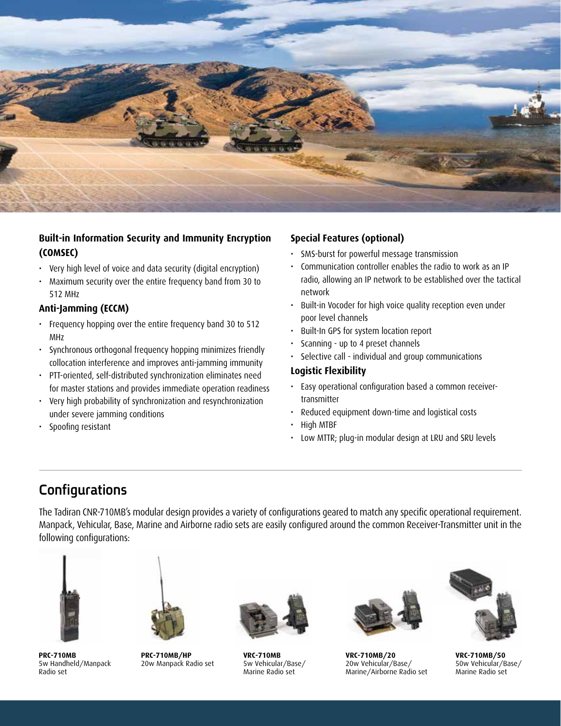

#### **Built-in Information Security and Immunity Encryption (COMSEC(**

- Very high level of voice and data security (digital encryption)
- Maximum security over the entire frequency band from 30 to 512 MHz

#### **Anti-Jamming (ECCM)**

- Frequency hopping over the entire frequency band 30 to 512 MHz
- Synchronous orthogonal frequency hopping minimizes friendly collocation interference and improves anti-jamming immunity
- PTT-oriented, self-distributed synchronization eliminates need for master stations and provides immediate operation readiness
- Very high probability of synchronization and resynchronization under severe jamming conditions
- Spoofing resistant

#### **Special Features (optional)**

- SMS-burst for powerful message transmission
- Communication controller enables the radio to work as an IP radio, allowing an IP network to be established over the tactical network
- Built-in Vocoder for high voice quality reception even under poor level channels
- Built-In GPS for system location report
- Scanning up to 4 preset channels
- Selective call individual and group communications

#### **Flexibility Logistic**

- Easy operational configuration based a common receiver-<br>transmitter
- Reduced equipment down-time and logistical costs
- High MTBF
- Low MTTR; plug-in modular design at LRU and SRU levels

### **Configurations**

The Tadiran CNR-710MB's modular design provides a variety of configurations geared to match any specific operational requirement. Manpack, Vehicular, Base, Marine and Airborne radio sets are easily configured around the common Receiver-Transmitter unit in the following configurations:



**PRC-710MB** 5w Handheld/Manpack Radio set



**PRC-710MB/HP** 20w Manpack Radio set



**VRC-710MB** 5w Vehicular/Base/ Marine Radio set



**VRC-710MB/20** 20w Vehicular/Base/ Marine/Airborne Radio set



**VRC-710MB/50** 50w Vehicular/Base/ Marine Radio set